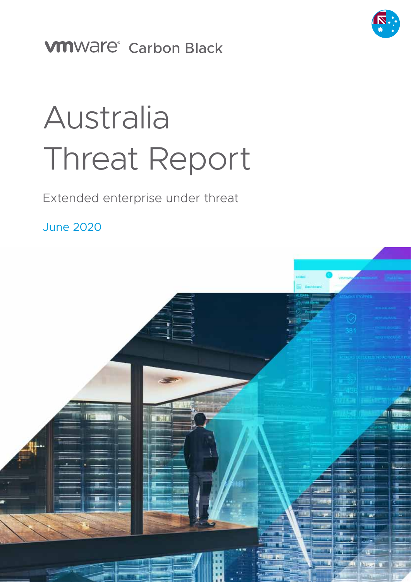

# **VMWAre®** Carbon Black

# Australia Threat Report

### Extended enterprise under threat

June 2020

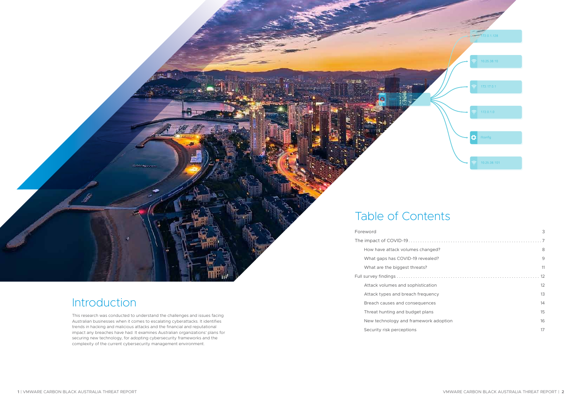|  | Foreword                              | 3  |
|--|---------------------------------------|----|
|  | 8<br>9<br>11                          |    |
|  | How have attack volumes changed?      |    |
|  | What gaps has COVID-19 revealed?      |    |
|  | What are the biggest threats?         |    |
|  |                                       |    |
|  | Attack volumes and sophistication     | 12 |
|  | Attack types and breach frequency     | 13 |
|  | Breach causes and consequences        | 14 |
|  | Threat hunting and budget plans       | 15 |
|  | New technology and framework adoption | 16 |
|  | Security risk perceptions             | 17 |

# Table of Contents

# Introduction

This research was conducted to understand the challenges and issues facing Australian businesses when it comes to escalating cyberattacks. It identifies trends in hacking and malicious attacks and the financial and reputational impact any breaches have had. It examines Australian organizations' plans for securing new technology, for adopting cybersecurity frameworks and the complexity of the current cybersecurity management environment.

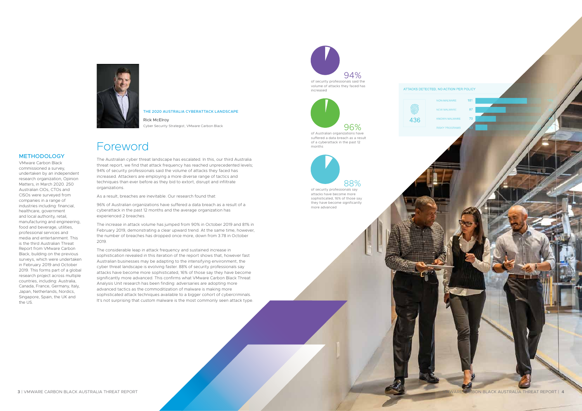### Foreword

The Australian cyber threat landscape has escalated. In this, our third Australia threat report, we find that attack frequency has reached unprecedented levels; 94% of security professionals said the volume of attacks they faced has increased. Attackers are employing a more diverse range of tactics and techniques than ever before as they bid to extort, disrupt and infiltrate organizations.

As a result, breaches are inevitable. Our research found that:

96% of Australian organizations have suffered a data breach as a result of a cyberattack in the past 12 months and the average organization has experienced 2 breaches.

The increase in attack volume has jumped from 90% in October 2019 and 81% in February 2019, demonstrating a clear upward trend. At the same time, however, the number of breaches has dropped once more, down from 3.78 in October 2019.

The considerable leap in attack frequency and sustained increase in sophistication revealed in this iteration of the report shows that, however fast Australian businesses may be adapting to the intensifying environment, the cyber threat landscape is evolving faster. 88% of security professionals say attacks have become more sophisticated, 16% of those say they have become significantly more advanced. This confirms what VMware Carbon Black Threat Analysis Unit research has been finding: adversaries are adopting more advanced tactics as the commoditization of malware is making more sophisticated attack techniques available to a bigger cohort of cybercriminals. It's not surprising that custom malware is the most commonly seen attack type.

methodology VMware Carbon Black

### commissioned a survey,

undertaken by an independent research organization, Opinion Matters, in March 2020. 250 Australian CIOs, CTOs and CISOs were surveyed from companies in a range of industries including: financial, healthcare, government and local authority, retail, manufacturing and engineering, food and beverage, utilities, professional services and media and entertainment. This is the third Australian Threat Report from VMware Carbon Black, building on the previous surveys, which were undertaken in February 2019 and October 2019. This forms part of a global research project across multiple countries, including: Australia, Canada, France, Germany, Italy, Japan, Netherlands, Nordics, Singapore, Spain, the UK and the US.



**3** | VMWARE CARBON BLACK AUSTRALIA THREAT REPORT |  $\blacksquare$  /  $\blacksquare$  /  $\blacksquare$  /  $\blacksquare$  /  $\blacksquare$  /  $\blacksquare$  /  $\blacksquare$  /  $\blacksquare$  /  $\blacksquare$  /  $\blacksquare$  /  $\blacksquare$  /  $\blacksquare$  /  $\blacksquare$  /  $\blacksquare$  /  $\blacksquare$  /  $\blacksquare$  /  $\blacksquare$  /  $\blacksquare$  /  $\blacksquare$  /



#### THE 2020 Australia CYBERATTACK LANDSCAPE

Rick McElroy Cyber Security Strategist, VMware Carbon Black

 94% of security professionals said the volume of attacks they faced has increased





of Australian organizations have suffered a data breach as a result of a cyberattack in the past 12 months



attacks have become more sophisticated, 16% of those say they have become significantly more advanced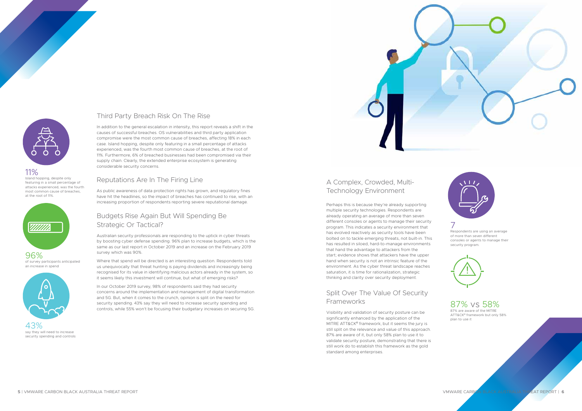



#### Third Party Breach Risk On The Rise

In addition to the general escalation in intensity, this report reveals a shift in the causes of successful breaches. OS vulnerabilities and third party application compromise were the most common cause of breaches, affecting 18% in each case. Island hopping, despite only featuring in a small percentage of attacks experienced, was the fourth most common cause of breaches, at the root of 11%. Furthermore, 6% of breached businesses had been compromised via their supply chain. Clearly, the extended enterprise ecosystem is generating considerable security concerns.

#### Reputations Are In The Firing Line

As public awareness of data protection rights has grown, and regulatory fines have hit the headlines, so the impact of breaches has continued to rise, with an increasing proportion of respondents reporting severe reputational damage.

#### Budgets Rise Again But Will Spending Be Strategic Or Tactical?

Australian security professionals are responding to the uptick in cyber threats by boosting cyber defense spending. 96% plan to increase budgets, which is the same as our last report in October 2019 and an increase on the February 2019 survey which was 90%.

#### Split Over The Value Of Security **Frameworks**

Where that spend will be directed is an interesting question. Respondents told us unequivocally that threat hunting is paying dividends and increasingly being recognised for its value in identifying malicious actors already in the system, so it seems likely this investment will continue, but what of emerging risks?

In our October 2019 survey, 98% of respondents said they had security concerns around the implementation and management of digital transformation and 5G. But, when it comes to the crunch, opinion is split on the need for security spending. 43% say they will need to increase security spending and controls, while 55% won't be focusing their budgetary increases on securing 5G.

### A Complex, Crowded, Multi-Technology Environment

Perhaps this is because they're already supporting multiple security technologies. Respondents are already operating an average of more than seven different consoles or agents to manage their security program. This indicates a security environment that has evolved reactively as security tools have been bolted on to tackle emerging threats, not built-in. This has resulted in siloed, hard-to-manage environments that hand the advantage to attackers from the start; evidence shows that attackers have the upper hand when security is not an intrinsic feature of the environment. As the cyber threat landscape reaches saturation, it is time for rationalization, strategic thinking and clarity over security deployment.

Visibility and validation of security posture can be significantly enhanced by the application of the MITRE ATT&CK® framework, but it seems the jury is still split on the relevance and value of this approach. 87% are aware of it, but only 58% plan to use it to validate security posture, demonstrating that there is still work do to establish this framework as the gold standard among enterprises.

#### 11%

Island hopping, despite only featuring in a small percentage of attacks experienced, was the fourth most common cause of breaches, at the root of 11%.



96% of survey participants anticipated an increase in spend



43% say they will need to increase security spending and controls

7 Respondents are using an average of more than seven different consoles or agents to manage their security program.



#### 87% vs 58%

87% are aware of the MITRE ATT&CK® framework but only 58% plan to use it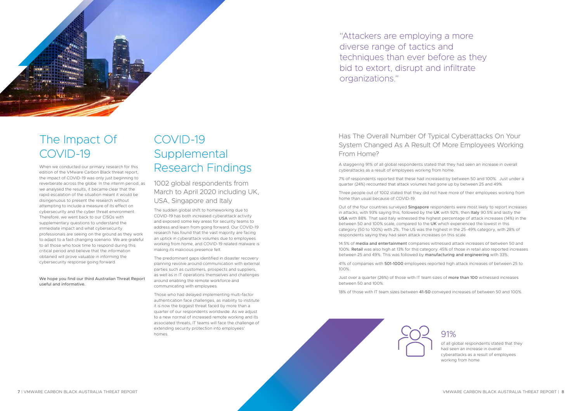

# The Impact Of COVID-19

When we conducted our primary research for this edition of the VMware Carbon Black threat report, the impact of COVID-19 was only just beginning to reverberate across the globe. In the interim period, as we analysed the results, it became clear that the rapid escalation of the situation meant it would be disingenuous to present the research without attempting to include a measure of its effect on cybersecurity and the cyber threat environment. Therefore, we went back to our CISOs with supplementary questions to understand the immediate impact and what cybersecurity professionals are seeing on the ground as they work to adapt to a fast-changing scenario. We are grateful to all those who took time to respond during this critical period and believe that the information obtained will prove valuable in informing the cybersecurity response going forward.

We hope you find our third Australian Threat Report useful and informative.

# COVID-19 **Supplemental** Research Findings

1002 global respondents from March to April 2020 including UK, USA, Singapore and Italy

The sudden global shift to homeworking due to COVID-19 has both increased cyberattack activity and exposed some key areas for security teams to address and learn from going forward. Our COVID-19 research has found that the vast majority are facing an uptick in cyberattack volumes due to employees working from home, and COVID-19 related malware is making its malicious presence felt.

Out of the four countries surveyed Singapore respondents were most likely to report increases in attacks, with 93% saying this, followed by the UK with 92%, then Italy 90.5% and lastly the USA with 88%. That said Italy witnessed the highest percentage of attack increases (14%) in the between 50 and 100% scale, compared to the UK which experienced the lowest in this category (50 to 100%) with 2%. The US was the highest in the 25-49% category, with 28% of respondents saying they had seen attack increases on this scale.

The predominant gaps identified in disaster recovery planning revolve around communication with external parties such as customers, prospects and suppliers, as well as in IT operations themselves and challenges around enabling the remote workforce and communicating with employees.

Those who had delayed implementing multi-factor authentication face challenges, as inability to institute it is now the biggest threat faced by more than a quarter of our respondents worldwide. As we adjust to a new normal of increased remote working and its associated threats, IT teams will face the challenge of extending security protection into employees' homes.

#### Has The Overall Number Of Typical Cyberattacks On Your System Changed As A Result Of More Employees Working From Home?

A staggering 91% of all global respondents stated that they had seen an increase in overall cyberattacks as a result of employees working from home.

7% of respondents reported that these had increased by between 50 and 100%. Just under a quarter (24%) recounted that attack volumes had gone up by between 25 and 49%.

Three people out of 1002 stated that they did not have more of their employees working from home than usual because of COVID-19.

14.5% of media and entertainment companies witnessed attack increases of between 50 and 100%. Retail was also high at 13% for this category. 45% of those in retail also reported increases between 25 and 49%. This was followed by manufacturing and engineering with 33%.

41% of companies with 501-1000 employees reported high attack increases of between 25 to 100%.

Just over a quarter (26%) of those with IT team sizes of more than 100 witnessed increases between 50 and 100%.

18% of those with IT team sizes between 41-50 conveyed increases of between 50 and 100%.

"Attackers are employing a more diverse range of tactics and techniques than ever before as they bid to extort, disrupt and infiltrate organizations."

### 91%

of all global respondents stated that they had seen an increase in overall cyberattacks as a result of employees working from home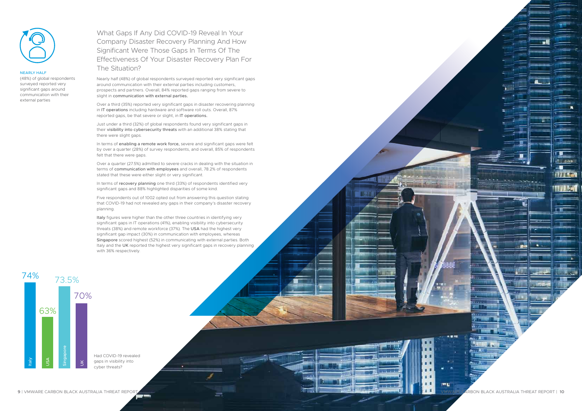What Gaps If Any Did COVID-19 Reveal In Your Company Disaster Recovery Planning And How Significant Were Those Gaps In Terms Of The Effectiveness Of Your Disaster Recovery Plan For The Situation?

Nearly half (48%) of global respondents surveyed reported very significant gaps around communication with their external parties including customers, prospects and partners. Overall, 84% reported gaps ranging from severe to slight in communication with external parties.

In terms of enabling a remote work force, severe and significant gaps were felt by over a quarter (28%) of survey respondents, and overall, 85% of respondents felt that there were gaps.

Over a third (35%) reported very significant gaps in disaster recovering planning in IT operations including hardware and software roll outs. Overall, 87% reported gaps, be that severe or slight, in IT operations.

In terms of recovery planning one third (33%) of respondents identified very significant gaps and 88% highlighted disparities of some kind.

Just under a third (32%) of global respondents found very significant gaps in their visibility into cybersecurity threats with an additional 38% stating that there were slight gaps.

Italy figures were higher than the other three countries in identifying very significant gaps in IT operations (41%), enabling visibility into cybersecurity threats (38%) and remote workforce (37%). The USA had the highest very significant gap impact (30%) in communication with employees, whereas Singapore scored highest (52%) in communicating with external parties. Both Italy and the UK reported the highest very significant gaps in recovery planning with 36% respectively.

Over a quarter (27.5%) admitted to severe cracks in dealing with the situation in terms of communication with employees and overall, 78.2% of respondents stated that these were either slight or very significant.

Five respondents out of 1002 opted out from answering this question stating that COVID-19 had not revealed any gaps in their company's disaster recovery planning.



#### nearly half

(48%) of global respondents surveyed reported very significant gaps around communication with their external parties



Had COVID-19 revealed gaps in visibility into cyber threats?

**TELE** 

**Different** 

**TITAL** 

W LO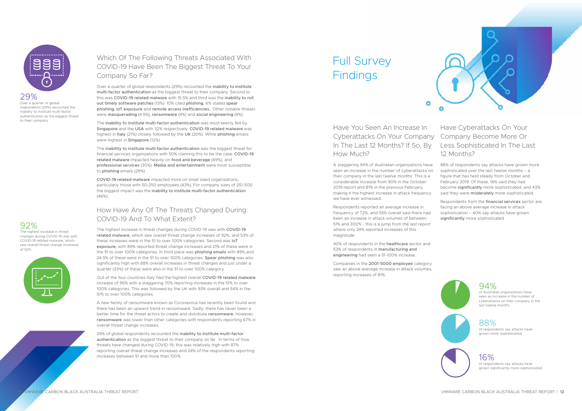Have You Seen An Increase In Cyberattacks On Your Company Company Become More Or In The Last 12 Months? If So, By How Much?

۰

A staggering 94% of Australian organizations have seen an increase in the number of cyberattacks on their company in the last twelve months. This is a considerable increase from 90% in the October 2019 report and 81% in the previous February, making it the highest increase in attack frequency we have ever witnessed.

88% of respondents say attacks have grown more sophisticated over the last twelve months – a figure that has held steady from October and February 2019. Of these, 16% said they had become significantly more sophisticated, and 43% said they were moderately more sophisticated.

Respondents reported an average increase in frequency of 72%, and 55% overall said there had been an increase in attack volumes of between 51% and 300% - this is a jump from the last report where only 24% reported increases of this magnitude.

Respondents from the financial services sector are facing an above average increase in attack sophistication – 40% say attacks have grown significantly more sophisticated.



40% of respondents in the healthcare sector and 53% of respondents in manufacturing and engineering had seen a 51-100% increase.

Companies in the 2001-5000 employee category saw an above average increase in attack volumes, reporting increases of 81%.



### Have Cyberattacks On Your Less Sophisticated In The Last 12 Months?

#### Which Of The Following Threats Associated With COVID-19 Have Been The Biggest Threat To Your Company So Far?

Over a quarter of global respondents (29%) recounted the inability to institute multi-factor authentication as the biggest threat to their company. Second to this was COVID-19 related malware with 15.5% and third was the inability to roll out timely software patches (13%). 10% cited phishing, 6% stated spear phishing, IoT exposure and remote access inefficiencies. Other notable threats were masquerading (4.5%), ransomware (4%) and social engineering (4%).

The inability to institute multi-factor authentication was most keenly felt by Singapore and the USA with 32% respectively. COVID-19 related malware was highest in Italy (21%) closely followed by the UK (20%). While phishing emails were highest in Singapore (12%).

# Full Survey **Findings**

The inability to institute multi-factor authentication was the biggest threat for financial services organizations with 50% claiming this to be the case. COVID-19 related malware impacted heavily on food and beverage (49%), and professional services (30%). Media and entertainment were most susceptible to phishing emails (29%).

COVID-19 related malware impacted more on small sized organizations, particularly those with 50-250 employees (43%). For company sizes of 251-500 the biggest impact was the inability to institute multi-factor authentication (46%).

#### How Have Any Of The Threats Changed During COVID-19 And To What Extent?

The highest increase in threat changes during COVID-19 was with COVID-19 related malware, which saw overall threat change increases of 92%, and 53% of these increases were in the 51 to over 100% categories. Second was IoT exposure, with 89% reported threat change increases and 21% of these were in the 51 to over 100% categories. In third place was phishing emails with 89% and 24.5% of these were in the 51 to over 100% categories. Spear phishing was also significantly high with 88% overall increases in threat changes and just under a quarter (23%) of these were also in the 51 to over 100% category.

Out of the four countries Italy had the highest overall COVID-19 related malware increase of 96% with a staggering 70% reporting increases in the 51% to over 100% categories. This was followed by the UK with 93% overall and 54% in the 51% to over 100% categories.

A new family of ransomware known as Coronavirus has recently been found and there has been an upward trend in ransomware. Sadly, there has never been a better time for the threat actors to create and distribute ransomware. However, ransomware was lower than other categories with respondents reporting 67% in overall threat change increases.

29% of global respondents recounted the inability to institute multi-factor authentication as the biggest threat to their company so far. In terms of how threats have changed during COVID-19, this was relatively high with 87% reporting overall threat change increases and 24% of the respondents reporting increases between 51 and more than 100%.



29% Over a quarter of global respondents (29%) recounted the inability to institute multi-factor authentication as the biggest threat to their company

#### 92%

The highest increase in threat changes during COVID-19 was with COVID-19 related malware, which saw overall threat change increases of 92%



88% of respondents say attacks have grown more sophisticated

#### 94%

of Australian organizations have seen an increase in the number of cyberattacks on their company in the last twelve months.

16% of respondents say attacks have grown significantly more sophisticated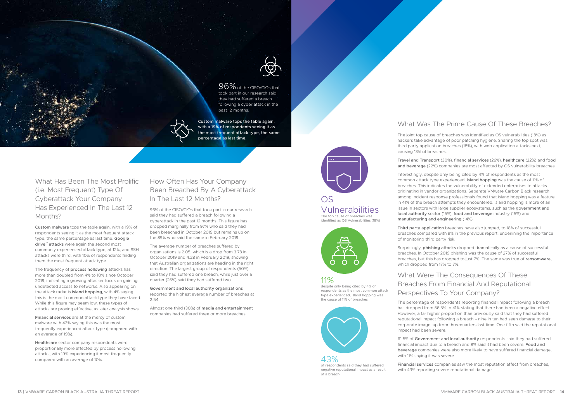#### What Has Been The Most Prolific (i.e. Most Frequent) Type Of Cyberattack Your Company Has Experienced In The Last 12 Months?

Custom malware tops the table again, with a 19% of respondents seeing it as the most frequent attack type, the same percentage as last time. Google drive™ attacks were again the second most commonly experienced attack type, at 12%, and SSH attacks were third, with 10% of respondents finding them the most frequent attack type.

The frequency of process hollowing attacks has more than doubled from 4% to 10% since October 2019, indicating a growing attacker focus on gaining undetected access to networks. Also appearing on the attack radar is island hopping, with 4% saying this is the most common attack type they have faced. While this figure may seem low, these types of attacks are proving effective, as later analysis shows.

Financial services are at the mercy of custom malware with 43% saying this was the most frequently experienced attack type (compared with an average of 19%).



96% of the CISO/CIOs that took part in our research said they had suffered a breach following a cyber attack in the past 12 months.

Healthcare sector company respondents were proportionally more affected by process hollowing attacks, with 19% experiencing it most frequently compared with an average of 10%.

#### How Often Has Your Company Been Breached By A Cyberattack In The Last 12 Months?

96% of the CISO/CIOs that took part in our research said they had suffered a breach following a cyberattack in the past 12 months. This figure has dropped marginally from 97% who said they had been breached in October 2019 but remains up on the 89% who said the same in February 2019.

The average number of breaches suffered by organizations is 2.05, which is a drop from 3.78 in October 2019 and 4.28 in February 2019, showing that Australian organizations are heading in the right direction. The largest group of respondents (50%) said they had suffered one breach, while just over a quarter (26%) said they had suffered two.

Government and local authority organizations reported the highest average number of breaches at 2.54.

Almost one third (30%) of media and entertainment companies had suffered three or more breaches.

#### What Was The Prime Cause Of These Breaches?

The joint top cause of breaches was identified as OS vulnerabilities (18%) as hackers take advantage of poor patching hygiene. Sharing the top spot was third party application breaches (18%), with web application attacks next, causing 13% of breaches.

43%<br>of respondents said they had suffered negative reputational impact as a result of a breach,

Travel and Transport (30%), financial services (26%), healthcare (22%) and food and beverage (22%) companies are most affected by OS vulnerability breaches.

Interestingly, despite only being cited by 4% of respondents as the most common attack type experienced, island hopping was the cause of 11% of breaches. This indicates the vulnerability of extended enterprises to attacks originating in vendor organizations. Separate VMware Carbon Black research among incident response professionals found that island hopping was a feature in 41% of the breach attempts they encountered. Island hopping is more of an issue in sectors with large supplier ecosystems, such as the government and local authority sector (15%), food and beverage industry (15%) and manufacturing and engineering (14%).

Third party application breaches have also jumped, to 18% of successful breaches compared with 9% in the previous report, underlining the importance of monitoring third party risk.

Surprisingly, phishing attacks dropped dramatically as a cause of successful breaches. In October 2019 phishing was the cause of 27% of successful breaches, but this has dropped to just 7%. The same was true of ransomware, which dropped from 17% to 7%.

#### What Were The Consequences Of These Breaches From Financial And Reputational Perspectives To Your Company?

The percentage of respondents reporting financial impact following a breach has dropped from 56.5% to 41% stating that there had been a negative effect. However, a far higher proportion than previously said that they had suffered reputational impact following a breach – nine in ten had seen damage to their corporate image, up from threequarters last time. One fifth said the reputational impact had been severe.

61.5% of Government and local authority respondents said they had suffered financial impact due to a breach and 8% said it had been severe. Food and beverage companies were also more likely to have suffered financial damage, with 11% saying it was severe.

Financial services companies saw the most reputation effect from breaches, with 43% reporting severe reputational damage.

Custom malware tops the table again, with a 19% of respondents seeing it as the most frequent attack type, the same percentage as last time.



## Vulnerabilities

The top cause of breaches was identified as OS Vulnerabilities (18%)



#### 11%

despite only being cited by 4% of respondents as the most common attack type experienced, island hopping was the cause of 11% of breaches

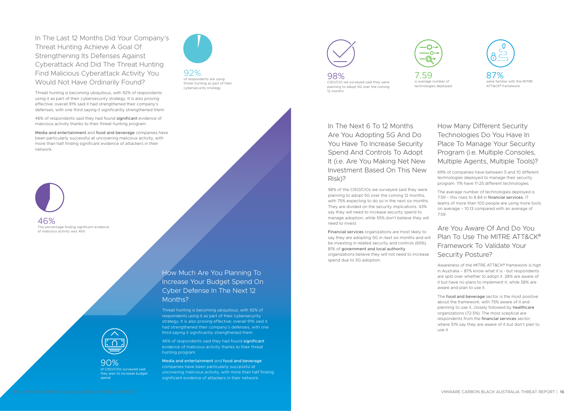

Threat hunting is becoming ubiquitous, with 92% of respondents using it as part of their cybersecurity strategy. It is also proving effective; overall 91% said it had strengthened their company's defenses, with one third saying it significantly strengthened them.

46% of respondents said they had found significant evidence of malicious activity thanks to their threat hunting program.

Media and entertainment and food and beverage companies have been particularly successful at uncovering malicious activity, with more than half finding significant evidence of attackers in their network.

In The Last 12 Months Did Your Company's Threat Hunting Achieve A Goal Of Strengthening Its Defenses Against Cyberattack And Did The Threat Hunting Find Malicious Cyberattack Activity You Would Not Have Ordinarily Found?

Threat hunting is becoming ubiquitous, with 92% of respondents using it as part of their cybersecurity strategy. It is also proving effective; overall 91% said it had strengthened their company's defenses, with one third saying it significantly strengthened them.

46% of respondents said they had found significant evidence of malicious activity thanks to their threat hunting program.

Media and entertainment and food and beverage companies have been particularly successful at uncovering malicious activity, with more than half finding significant evidence of attackers in their network.

98% CISO/CIO we surveyed said they were planning to adopt 5G over the coming 12 months

7.59 is average number of technologies deployed



ATT&CK® framework

The food and beverage sector is the most positive about the framework, with 75% aware of it and planning to use it, closely followed by healthcare organizations (72.5%). The most sceptical are respondents from the financial services sector, where 51% say they are aware of it but don't plan to use it.

In The Next 6 To 12 Months Are You Adopting 5G And Do You Have To Increase Security Spend And Controls To Adopt It (i.e. Are You Making Net New Investment Based On This New Risk)?

98% of the CISO/CIOs we surveyed said they were planning to adopt 5G over the coming 12 months, with 75% expecting to do so in the next six months. They are divided on the security implications. 43% say they will need to increase security spend to manage adoption, while 55% don't believe they will need to invest.

Financial services organizations are most likely to say they are adopting 5G in next six months and will be investing in related security and controls (65%). 81% of government and local authority organizations believe they will not need to increase spend due to 5G adoption.



#### How Many Different Security Technologies Do You Have In Place To Manage Your Security Program (i.e. Multiple Consoles, Multiple Agents, Multiple Tools)?

69% of companies have between 5 and 10 different technologies deployed to manage their security program. 11% have 11-25 different technologies.

The average number of technologies deployed is 7.59 – this rises to 8.84 in financial services. IT teams of more than 100 people are using more tools on average – 10.13 compared with an average of 7.59.

#### Are You Aware Of And Do You Plan To Use The MITRE ATT&CK® Framework To Validate Your Security Posture?

Awareness of the MITRE ATT&CK® framework is high in Australia – 87% know what it is - but respondents are split over whether to adopt it. 28% are aware of it but have no plans to implement it, while 58% are aware and plan to use it.

90% of CISO/CIOs surveyed said they plan to increase budget spend

92% of respondents are using threat hunting as part of their cybersecurity strategy